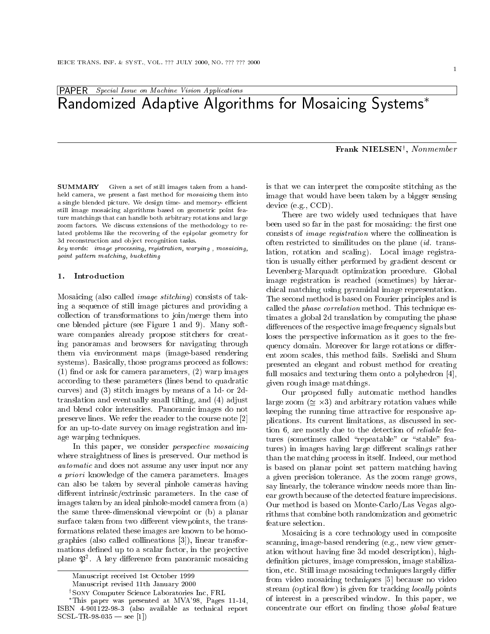# PAPER Special Issue on Machine Vision Applications Randomized Adaptive Algorithms for Mosaicing Systems

# Frank NIELSENy , Nonmember

**SUMMARY** Given a set of still images taken from a handheld camera, we present a fast method for mosaicing them into a single blended picture. We design time- and memory- efficient still image mosaicing algorithms based on geometric point feature matchings that can handle both arbitrary rotations and large zoom factors. We discuss extensions of the methodology to related problems like the recovering of the epipolar geometry for 3d reconstruction and object recognition tasks.

key words: image processing, registration, warping , mosaicing, point pattern matching, bucketting

#### 1. Introduction

Mosaicing (also called image stitching) consists of taking a sequence of still image pictures and providing a collection of transformations to join/merge them into one blended picture (see Figure 1 and 9). Many software companies already propose stitchers for creating panoramas and browsers for navigating through them via environment maps (image-based rendering systems). Basically, those programs proceed as follows:  $(1)$  find or ask for camera parameters,  $(2)$  warp images according to these parameters (lines bend to quadratic curves) and (3) stitch images by means of a 1d- or 2dtranslation and eventually small tilting, and (4) adjust and blend color intensities. Panoramic images do not preserve lines. We refer the reader to the course note [2] for an up-to-date survey on image registration and image warping techniques.

In this paper, we consider *perspective mosaicing* where straightness of lines is preserved. Our method is automatic and does not assume and any user input nor any user in a priori knowledge of the camera parameters. Images can also be taken by several pinhole cameras having different intrinsic/extrinsic parameters. In the case of images taken by an ideal pinhole-model camera from (a) the same three-dimensional viewpoint or (b) a planar surface taken from two different viewpoints, the transformations related these images are known to be homographies (also called collineations [3]), linear transformations defined up to a scalar factor, in the projective plane  $\mathfrak{P}^2$ . A key difference from panoramic mosaicing

is that we can interpret the composite stitching as the image that would have been taken by a bigger sensing device (e.g., CCD).

There are two widely used techniques that have been used so far in the past for mosaicing: the first one consists of image registration where the collineation is often restricted to similitudes on the plane (id. translation, rotation and scaling). Local image registration is usually either performed by gradient descent or Levenberg-Marquadt optimization procedure. Global image registration is reached (sometimes) by hierarchical matching using pyramidal image representation. The second method is based on Fourier principles and is called the phase correlation method. This technique estimates a global 2d translation by computing the phase differences of the respective image frequency signals but loses the perspective information as it goes to the frequency domain. Moreover for large rotations or different zoom scales, this method fails. Szeliski and Shum presented an elegant and robust method for creating full mosaics and texturing them onto a polyhedron [4], given rough image matchings.

Our proposed fully automatic method handles  $\sum_{i=1}^{\infty}$   $\sum_{i=1}^{\infty}$   $\sum_{i=1}^{\infty}$  and arbitrary rotation values while keeping the running time attractive for responsive applications. Its current limitations, as discussed in section 6, are mostly due to the detection of reliable features (sometimes called "repeatable" or "stable" features) in images having large different scalings rather than the matching process in itself. Indeed, our method is based on planar point set pattern matching having a given precision tolerance. As the zoom range grows, say linearly, the tolerance window needs more than linear growth because of the detected feature imprecisions. Our method is based on Monte-Carlo/Las Vegas algorithms that combine both randomization and geometric feature selection.

Mosaicing is a core technology used in composite scanning, image-based rendering (e.g., new view generation without having fine 3d model description), highdefinition pictures, image compression, image stabilization, etc. Still image mosaicing techniques largely differ from video mosaicing techniques [5] because no video stream (optical flow) is given for tracking *locally* points of interest in a prescribed window. In this paper, we concentrate our effort on finding those *global* feature

Manuscript received 1st October 1999

Manuscript revised 11th January 2000

<sup>y</sup> Sony Computer Science Laboratories Inc, FRL

This paper was presented at MVA'98, Pages 11-14, ISBN 4-901122-98-3 (also available as technical report  $SCSL TR-98-035$  — see [1])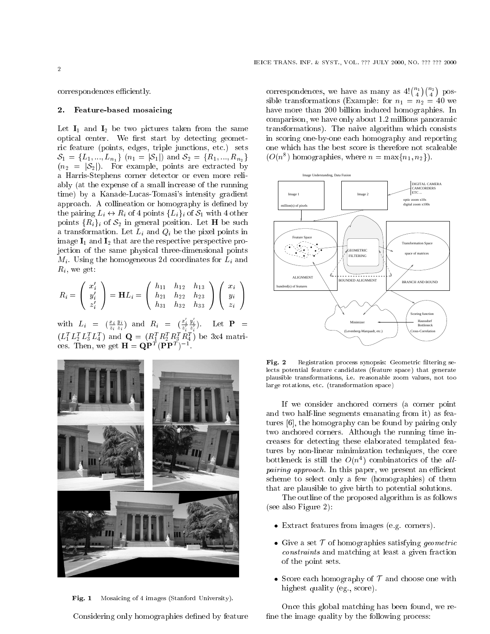#### 2. Feature-based mosaicing

Let  $I_1$  and  $I_2$  be two pictures taken from the same optical center. We first start by detecting geometric feature (points, edges, triple junctions, etc.) sets  $S_1 = \{L_1, ..., L_{n_1}\}\$  ( $n_1 = |S_1|$ ) and  $S_2 = \{R_1, ..., R_{n_2}\}\$  $(n_2 = |\mathcal{S}_2|)$ . For example, points are extracted by a Harris-Stephens corner detector or even more reliably (at the expense of a small increase of the running time) by a Kanade-Lucas-Tomasi's intensity gradient approach. A collineation or homography is defined by the pairing  $L_i \leftrightarrow R_i$  of 4 points  $\{L_i\}_i$  of  $S_1$  with 4 other points  $\{R_i\}_i$  of  $S_2$  in general position. Let **H** be such a transformation. Let  $L_i$  and  $Q_i$  be the pixel points in image  $I_1$  and  $I_2$  that are the respective perspective projection of the same physical three-dimensional points  $M_i$ . Using the homogeneous 2d coordinates for  $L_i$  and  $R_i$ , we get:

$$
R_i = \left(\begin{array}{c} x_i' \\ y_i' \\ z_i' \end{array}\right) = \mathbf{H} L_i = \left(\begin{array}{ccc} h_{11} & h_{12} & h_{13} \\ h_{21} & h_{22} & h_{23} \\ h_{31} & h_{32} & h_{33} \end{array}\right) \left(\begin{array}{c} x_i \\ y_i \\ z_i \end{array}\right)
$$

with  $L_i = \left(\frac{x_i}{z_i} \frac{y_i}{z_i}\right)$  and  $R_i = \left(\frac{x_i}{z_i}\right)$  $(L_1^T L_2^T L_3^T L_4^T)$  and  $\mathbf{Q} = (R_1^T R_2^T R_3^T R_4^T)$  be 3x4 matri- $\frac{y_i}{z'}$ ). Let  $\mathbf{P}$  = ces. Then, we get  $\mathbf{H} = \mathbf{Q}\mathbf{P}^T(\mathbf{P}\mathbf{P}^T)^{-1}$ .



Fig. 1 Mosaicing of 4 images (Stanford University).

Considering only homographies defined by feature

correspondences, we have as many as  $4! {n_1 \choose 4} {n_2 \choose 4}$ possible transformations (Example: for  $n_1 = n_2 = 40$  we have more than 200 billion induced homographies. In comparison, we have only about 1.2 millions panoramic transformations). The naive algorithm which consists in scoring one-by-one each homography and reporting one which has the best score is therefore not scaleable  $(O(n^8)$  homographies, where  $n = \max\{n_1, n_2\}$ .



Fig. 2 Registration process synopsis: Geometric filtering selects potential feature candidates (feature space) that generate plausible transformations, i.e. reasonable zoom values, not too large rotations, etc. (transformation space)

If we consider anchored corners (a corner point and two half-line segments emanating from it) as features [6], the homography can be found by pairing only two anchored corners. Although the running time increases for detecting these elaborated templated features by non-linear minimization techniques, the core bottleneck is still the  $O(n^4)$  combinatorics of the allpairing approach. In this paper, we present an ecient scheme to select only a few (homographies) of them that are plausible to give birth to potential solutions.

The outline of the proposed algorithm is as follows (see also Figure 2):

- $\mathbf{F}$  from independent from independent from independent from independent from independent from independent from independent from independent from independent from independent from independent from independent from ind
- Give a set T of homographies satisfying geometric constraints and matching at least a given fraction of the point sets.
- Score each homography of <sup>T</sup> and choose one with highest quality (eg., score).

Once this global matching has been found, we re fine the image quality by the following process: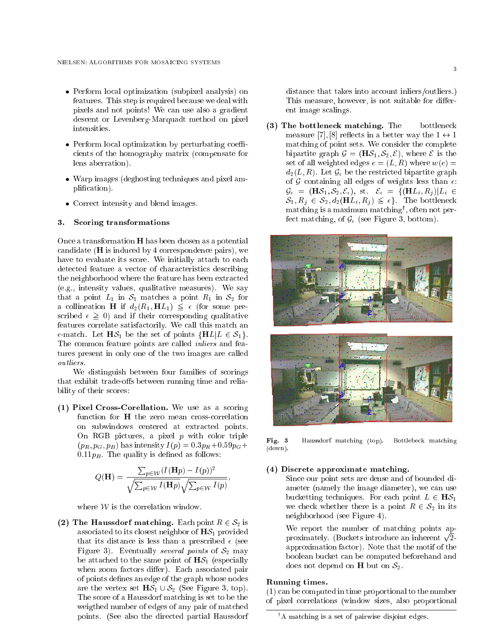- Perform local optimization (subpixel analysis) on features. This step is required because we deal with pixels and not points! We can use also a gradient descent or Levenberg-Marquadt method on pixel intensities.
- Perform local optimization by perturbating coe cients of the homography matrix (compensate for lens aberration).
- Warp images (deghosting techniques and pixel amplication).
- Correct intensity and blend images.

#### 3. Scoring transformations

Once a transformation H has been chosen as a potential candidate (H is induced by 4 correspondence pairs), we have to evaluate its score. We initially attach to each detected feature a vector of characteristics describing the neighborhood where the feature has been extracted (e.g., intensity values, qualitative measures). We say that a point  $L_1$  in  $S_1$  matches a point  $R_1$  in  $S_2$  for a commeation  $\mathbf{H}$  if  $u_2(\mathbf{R}_1, \mathbf{H}L_1) \geq \epsilon$  (for some pre- $\sum_{i=1}^{\infty}$   $\sum_{i=1}^{\infty}$  and if their corresponding qualitative features correlate satisfactorily. We call this match an  $\epsilon$ -match. Let  $\mathbf{H}\mathcal{S}_1$  be the set of points  $\{\mathbf{H}L|L \in \mathcal{S}_1\}$ . The common feature points are called inliers and features present in only one of the two images are called outliers.

We distinguish between four families of scorings that exhibit trade-offs between running time and reliability of their scores:

(1) Pixel Cross-Corellation. We use as a scoring function for H the zero mean cross-correlation on subwindows centered at extracted points. On RGB pictures, a pixel  $p$  with color triple  $(p_R, p_G, p_B)$  has intensity  $I(p) = 0.3p_R + 0.59p_G +$  $0.11p_B$ . The quality is defined as follows:

$$
Q(\mathbf{H}) = \frac{\sum_{p \in \mathcal{W}} (I(\mathbf{H}p) - I(p))^2}{\sqrt{\sum_{p \in \mathcal{W}} I(\mathbf{H}p)} \sqrt{\sum_{p \in \mathcal{W}} I(p)}},
$$

where  $W$  is the correlation window.

(2) The Haussdorf matching. Each point  $R \in S_2$  is associated to its closest neighbor of  $H\mathcal{S}_1$  provided that its distance is less than a prescribed  $\epsilon$  (see Figure 3). Eventually several points of  $S_2$  may be attached to the same point of  $H\mathcal{S}_1$  (especially when zoom factors differ). Each associated pair of points defines an edge of the graph whose nodes are the vertex set  $H\mathcal{S}_1 \cup \mathcal{S}_2$  (See Figure 3, top). The score of a Haussdorf matching is set to be the weigthed number of edges of any pair of matched points. (See also the directed partial Haussdorf distance that takes into account inliers/outliers.) This measure, however, is not suitable for different image scalings.

(3) The bottleneck matching. The bottleneck measure [7], [8] reflects in a better way the  $1 \leftrightarrow 1$ matching of point sets. We consider the complete bipartite graph  $\mathcal{G} = (H\mathcal{S}_1, \mathcal{S}_2, \mathcal{E})$ , where  $\mathcal E$  is the set of all weighted edges  $e = (L, R)$  where  $w(e) =$  $d_2(L, R)$ . Let  $\mathcal{G}_{\epsilon}$  be the restricted bipartite graph of G containing all edges of weights less than  $\epsilon$ .  $\mathcal{G}_{\epsilon} = (\mathbf{H}\mathcal{S}_1, \mathcal{S}_2, \mathcal{E}_{\epsilon}), \text{ st. } \mathcal{E}_{\epsilon} = \{(\mathbf{H}L_i, R_i) | L_i \in$  $S_1, n_j \in S_2, u_2(\mathbf{n}L_i, n_j) \geq \epsilon$  ) The bottleneck matching is a maximum matching<sup>y</sup> , often not perfect matching, of  $\mathcal{G}_{\epsilon}$  (see Figure 3, bottom).



Fig. 3 Haussdorf matching (top). Bottlebeck matching (down).

### (4) Discrete approximate matching.

Since our point sets are dense and of bounded diameter (namely the image diameter), we can use bucketting techniques. For each point  $L \in \mathbf{H}\mathcal{S}_1$ we check whether there is a point  $R \in S_2$  in its neighborhood (see Figure 4).

We report the number of matching points approximately. (Buckets introduce an inherent p approximation factor). Note that the motif of the boolean bucket can be computed beforehand and does not depend on **H** but on  $S_2$ .

# Running times.

(1) can be computed in time proportional to the number of pixel correlations (window sizes, also proportional

<sup>y</sup> A matching is a set of pairwise disjoint edges.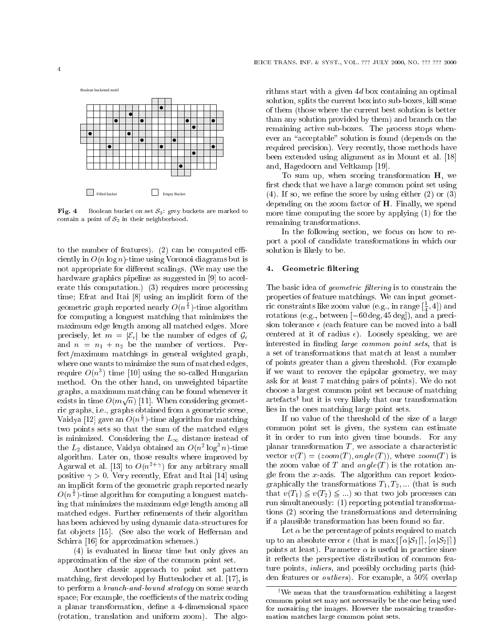Boolean bucketted motif



Fig. 4 Boolean bucket on set  $S_2$ : grey buckets are marked to contain a point of  $S_2$  in their neighborhood.

to the number of features).  $(2)$  can be computed efficiently in  $O(n \log n)$ -time using Voronoi diagrams but is not appropriate for different scalings. (We may use the hardware graphics pipeline as suggested in [9] to accelerate this computation.) (3) requires more processing time; Efrat and Itai [8] using an implicit form of the geometric graph reported nearly  $O(n^{\frac{1}{2}})$ -time algorithm for computing a longuest matching that minimizes the maximum edge length among all matched edges. More precisely, let  $m = |\mathcal{E}_{\epsilon}|$  be the number of edges of  $\mathcal{G}_{\epsilon}$ and  $n = n_1 + n_2$  be the number of vertices. Perfect/maximum matchings in general weighted graph, where one wants to minimize the sum of matched edges, require  $O(n^3)$  time [10] using the so-called Hungarian method. On the other hand, on unweighted bipartite graphs, a maximum matching can be found whenever it exists in time  $O(m\sqrt{n})$  [11]. When considering geometric graphs, i.e., graphs obtained from a geometric scene, Vaidya [12] gave an  $O(n^{\frac{1}{2}})$ -time algorithm for matching two points sets so that the sum of the matched edges is minimized. Considering the  $L_{\infty}$  distance instead of the  $L_2$  distance, Vaidya obtained an  $O(n^2 \log^3 n)$ -time algorithm. Later on, those results where improved by Agarwal et al. [13] to  $O(n^{2+\gamma})$  for any arbitrary small positive  $\gamma > 0$ . Very recently, Efrat and Itai [14] using an implicit form of the geometric graph reported nearly  $O(n^{\frac{1}{2}})$ -time algorithm for computing a longuest matching that minimizes the maximum edge length among all matched edges. Further refinements of their algorithm has been achieved by using dynamic data-structures for fat objects [15]. (See also the work of Heffernan and Schirra [16] for approximation schemes.)

(4) is evaluated in linear time but only gives an approximation of the size of the common point set.

Another classic approach to point set pattern matching, first developed by Huttenlocher et al. [17], is to perform a branch-and-bound strategy on some search space; For example, the coefficients of the matrix coding a planar transformation, define a 4-dimensional space (rotation, translation and uniform zoom). The algorithms start with a given 4d box containing an optimal solution, splits the current box into sub-boxes, kill some of them (those where the current best solution is better than any solution provided by them) and branch on the remaining active sub-boxes. The process stops whenever an "acceptable" solution is found (depends on the required precision). Very recently, those methods have been extended using alignment as in Mount et al. [18] and, Hagedoorn and Veltkamp [19].

To sum up, when scoring transformation H, we first check that we have a large common point set using  $(4)$ . If so, we refine the score by using either  $(2)$  or  $(3)$ depending on the zoom factor of H. Finally, we spend more time computing the score by applying (1) for the remaining transformations.

In the following section, we focus on how to report a pool of candidate transformations in which our solution is likely to be.

# 4. Geometric filtering

The basic idea of *geometric filtering* is to constrain the properties of feature matchings. We can input geometric constraints like zoom value (e.g., in range  $[\frac{1}{4}, 4]$ ) and rotations (e.g., between  $[-60 \deg, 45 \deg]$ ), and a precision tolerance  $\epsilon$  (each feature can be moved into a ball centered at it of radius  $\epsilon$ ). Loosely speaking, we are interested in finding *large common point sets*, that is a set of transformations that match at least a number of points greater than a given threshold. (For example if we want to recover the epipolar geometry, we may ask for at least 7 matching pairs of points). We do not choose a largest common point set because of matching artefactsy but it is very likely that our transformation lies in the ones matching large point sets.

If no value of the threshold of the size of a large common point set is given, the system can estimate it in order to run into given time bounds. For any planar transformation  $T$ , we associate a characteristic vector  $v(T) = (zoom(T), angle(T))$ , where  $zoom(T)$  is the zoom value of T and  $angle(T)$  is the rotation angle from the  $x$ -axis. The algorithm can report lexicographically the transformations  $T_1, T_2, ...$  (that is such that  $v(T_1) \geq v(T_2) \geq \ldots$  so that two job processes can run simultaneously: (1) reporting potential transformations (2) scoring the transformations and determining if a plausible transformation has been found so far.

Let  $\alpha$  be the percentage of points required to match up to an absolute error  $\epsilon$  (that is max $\{[\alpha|\mathcal{S}_1|], [\alpha|\mathcal{S}_2|\}$ ) points at least). Parameter  $\alpha$  is useful in practice since it reflects the perspective distribution of common feature points, *inliers*, and possibly occluding parts (hidden features or outliers). For example, a 50% overlap

<sup>&</sup>lt;sup>†</sup>We mean that the transformation exhibiting a largest common point set may not necessarily be the one being used for mosaicing the images. However the mosaicing transformation matches large common point sets.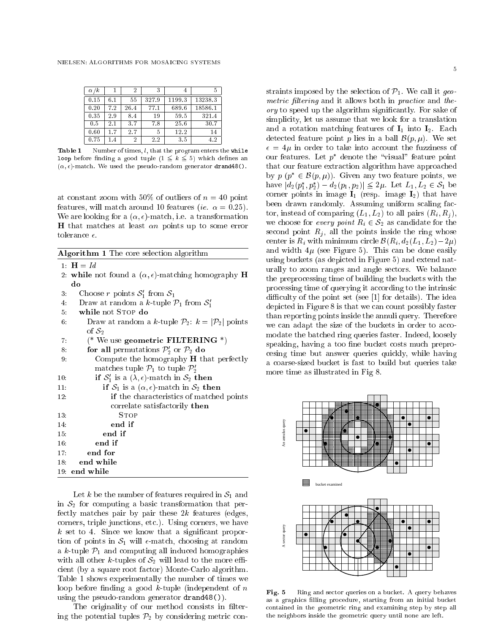| $\alpha/k$ |     |      |       | 4      |         |
|------------|-----|------|-------|--------|---------|
| 0.15       | 6.1 | 55   | 327.9 | 1199.3 | 13238.3 |
| 0.20       | 7.2 | 26.4 | 77.1  | 689.6  | 18586.1 |
| 0.35       | 2.9 | 8.4  | 19    | 59.5   | 321.4   |
| 0.5        | 2.1 | 37   | 7.8   | 25.6   | 30.7    |
| 0.60       | 1.7 | 2.7  | 5     | 12.2   | 14      |
| 0.75       | 1.4 | 2    | 2.2   | 3.5    | 4.2     |

**Table 1** Number of times,  $l$ , that the program enters the while **Loop** before infinity a good tuple  $\mu \geq \kappa \geq 0$  which defines an  $(\alpha, \epsilon)$ -match. We used the pseudo-random generator drand48().

at constant zoom with 50% of outliers of  $n = 40$  point features, will match around 10 features (ie.  $\alpha = 0.25$ ). We are looking for a  $(\alpha, \epsilon)$ -match, i.e. a transformation **H** that matches at least  $\alpha n$  points up to some error tolerance  $\epsilon$ .

| Algorithm 1 The core selection algorithm                                      |  |  |  |  |  |
|-------------------------------------------------------------------------------|--|--|--|--|--|
| 1: $H = Id$                                                                   |  |  |  |  |  |
| 2: while not found a $(\alpha, \epsilon)$ -matching homography <b>H</b>       |  |  |  |  |  |
| do                                                                            |  |  |  |  |  |
| Choose r points $S'_1$ from $S_1$<br>3.                                       |  |  |  |  |  |
| Draw at random a k-tuple $\mathcal{P}_1$ from $\mathcal{S}_1'$<br>4:          |  |  |  |  |  |
| while not STOP do<br>5.                                                       |  |  |  |  |  |
| Draw at random a k-tuple $\mathcal{P}_2$ : $k =  \mathcal{P}_2 $ points<br>6. |  |  |  |  |  |
| of $S_2$                                                                      |  |  |  |  |  |
| (* We use geometric FILTERING $*)$<br>7.                                      |  |  |  |  |  |
| for all permutations $\mathcal{P}'_2$ or $\mathcal{P}_2$ do<br>8.             |  |  |  |  |  |
| Compute the homography $H$ that perfectly<br>9.                               |  |  |  |  |  |
| matches tuple $\mathcal{P}_1$ to tuple $\mathcal{P}_2'$                       |  |  |  |  |  |
| if $S'_1$ is a $(\lambda, \epsilon)$ -match in $S_2$ then<br>10:              |  |  |  |  |  |
| if $S_1$ is a $(\alpha, \epsilon)$ -match in $S_2$ then<br>11:                |  |  |  |  |  |
| if the characteristics of matched points<br>12:                               |  |  |  |  |  |
| correlate satisfactorily then                                                 |  |  |  |  |  |
| $S$ TOP<br>13.                                                                |  |  |  |  |  |
| end if<br>14:                                                                 |  |  |  |  |  |
| end if<br>15.                                                                 |  |  |  |  |  |
| end if<br>16:                                                                 |  |  |  |  |  |
| end for<br>17:                                                                |  |  |  |  |  |
| end while<br>18:                                                              |  |  |  |  |  |
| $19:$ end while                                                               |  |  |  |  |  |

Let k be the number of features required in  $S_1$  and in  $S_2$  for computing a basic transformation that perfectly matches pair by pair these  $2k$  features (edges, corners, triple junctions, etc.). Using corners, we have k set to 4. Since we know that a signicant proportion of points in  $S_1$  will  $\epsilon$ -match, choosing at random a k-tuple  $\mathcal{P}_1$  and computing all induced homographies with all other k-tuples of  $S_2$  will lead to the more efficient (by a square root factor) Monte-Carlo algorithm. Table 1 shows experimentally the number of times we loop before finding a good  $k$ -tuple (independent of  $n$ using the pseudo-random generator drand48()).

The originality of our method consists in filtering the potential tuples  $\mathcal{P}_2$  by considering metric con-

straints imposed by the selection of  $\mathcal{P}_1$ . We call it geometric puttering and it and it allows both it all  $\mu$  control and it allows ory to speed up the algorithm significantly. For sale  $\mathcal{A}$ simplicity, let us assume that we look for a translation and a rotation matching features of  $I_1$  into  $I_2$ . Each detected feature point p lies in a ball  $\mathcal{B}(p,\mu)$ . We set = 4 in order to take into account the fuzziness of our features. Let  $p$  denote the  $v$ isual feature point that our feature extraction algorithm have approached by  $p \, (p \in \mathcal{D}(p, \mu))$ . Given any two feature points, we have  $|u_2(p_1, p_2) - u_2(p_1, p_2)| \ge 2\mu$ . Let  $L_1, L_2 \in \mathcal{S}_1$  be corner points in image  $I_1$  (resp. image  $I_2$ ) that have been drawn randomly. Assuming uniform scaling factor, instead of comparing  $(L_1, L_2)$  to all pairs  $(R_i, R_j)$ , we choose for every point  $R_i \in S_2$  as candidate for the second point  $R_i$ , all the points inside the ring whose center is  $R_i$  with minimum circle  $\mathcal{B}(R_i, d_2(L_1, L_2)-2\mu)$ and width  $4\mu$  (see Figure 5). This can be done easily using buckets (as depicted in Figure 5) and extend naturally to zoom ranges and angle sectors. We balance the preprocessing time of building the buckets with the processing time of querying it according to the intrinsic difficulty of the point set (see  $[1]$  for details). The idea depicted in Figure 8 is that we can count possibly faster than reporting points inside the annuli query. Therefore we can adapt the size of the buckets in order to accomodate the batched ring queries faster. Indeed, loosely speaking, having a too fine bucket costs much preprocesing time but answer queries quickly, while having a coarse-sized bucket is fast to build but queries take more time as illustrated in Fig 8.



Ring and sector queries on a bucket. A query behaves  $Fig. 5$ as a graphics filling procedure, starting from an initial bucket contained in the geometric ring and examining step by step all the neighbors inside the geometric query until none are left.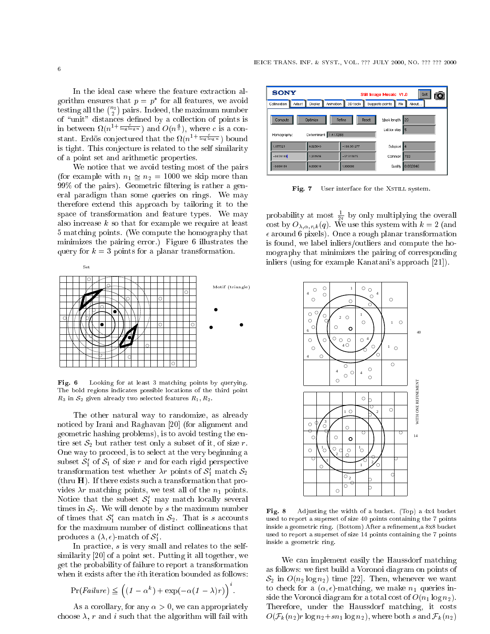In the ideal case where the feature extraction algorithm ensures that  $p = p$  for all features, we avoid testing all the  $\binom{n_2}{2}$ pairs. Indeed, the maximum number of "unit" distances defined by a collection of points is in between  $\Omega(n^{1+\frac{c}{\log\log n}})$  and  $O(n^{\frac{4}{3}})$ , where c is a constant. Erdös conjectured that the  $\Omega(n^{1+\frac{c}{\log\log n}})$  bound is tight. This conjecture is related to the self similarity of a point set and arithmetic properties.

We notice that we avoid testing most of the pairs (for example with  $n_1 \simeq n_2 = 1000$  we skip more than 99% of the pairs). Geometric ltering is rather a general paradigm than some queries on rings. We may therefore extend this approach by tailoring it to the space of transformation and feature types. We may also increase  $k$  so that for example we require at least 5 matching points. (We compute the homography that minimizes the pairing error.) Figure 6 illustrates the query for  $k = 3$  points for a planar transformation.



Fig. 6 Looking for at least 3 matching points by querying. The bold regions indicates possible locations of the third point  $R_3$  in  $S_2$  given already two selected features  $R_1, R_2$ .

The other natural way to randomize, as already noticed by Irani and Raghavan [20] (for alignment and geometric hashing problems), is to avoid testing the entire set  $S_2$  but rather test only a subset of it, of size r. One way to proceed, is to select at the very beginning a subset  $\mathcal{O}_1$  of  $\mathcal{O}_1$  of size r and for each rigid perspective transformation test whether  $\lambda r$  points of  $\mathcal{S}_1$  match  $\mathcal{S}_2$ (thru H). If there exists such a transformation that provides  $\lambda r$  matching points, we test all of the  $n_1$  points. ivotice that the subset  $\mathcal{O}_1$  may match locally several times in  $S_2$ . We will denote by s the maximum number of times that  $\mathcal{O}_1$  can match in  $\mathcal{O}_2$ . That is s accounts for the maximum number of distinct collineations that produces a  $(x, \epsilon)$ -match of  $\mathcal{S}_1$ .

In practice, <sup>s</sup> is very small and relates to the selfsimilarity [20] of a point set. Putting it all together, we get the probability of failure to report a transformation when it exists after the *i*th iteration bounded as follows:

$$
Pr(Failure) \leq \left( (1 - \alpha^{k}) + \exp(-\alpha (1 - \lambda)r) \right)^{k}.
$$

As a corollary, for any  $\alpha > 0$ , we can appropriately choose  $\lambda$ , r and i such that the algorithm will fail with

| <b>SONY</b>            |                                  | Quit<br>Still Image Mosaic V1.0 |                               |           |  |  |
|------------------------|----------------------------------|---------------------------------|-------------------------------|-----------|--|--|
| Adjust<br>Collineation | Animation<br>Display             | 3D tools                        | Suggests points<br>File       | About     |  |  |
| Compute<br>Homography: | Optimize<br>Determinant 1.417288 | Reset<br>Refine                 | Mask length<br>Lattice step 5 | 120       |  |  |
| 1.177525               | 0.025843                         | $-180.361277$                   | Subpixel                      | $\vert$ 4 |  |  |
| $-0.078180$            | 1.231956                         | $-57.315875$                    | Common                        | 783       |  |  |
| $-0.000164$            | 0.000018                         | 1.000000                        | Quality                       | 0.092846  |  |  |

Fig. 7 User interface for the XSTILL system.

probability at most  $\frac{1}{2q}$  by only multiplying the overall cost by  $O_{\lambda,\alpha,r,k}(q)$ . We use this system with  $k = 2$  (and around 6 pixels). Once a rough planar transformation is found, we label inliers/outliers and compute the homography that minimizes the pairing of corresponding inliers (using for example Kanatani's approach [21]).



Adjusting the width of a bucket. (Top) a  $4x4$  bucket Fig. 8 used to report a superset of size 40 points containing the 7 points inside a geometric ring. (Bottom) After a refinement, a 8x8 bucket used to report a superset of size 14 points containing the 7 points inside a geometric ring.

We can implement easily the Haussdorf matching as follows: we first build a Voronoi diagram on points of  $S_2$  in  $O(n_2 \log n_2)$  time [22]. Then, whenever we want to check for a  $(\alpha, \epsilon)$ -matching, we make  $n_1$  queries inside the Voronoi diagram for a total cost of  $O(n_1 \log n_2)$ . Therefore, under the Haussdorf matching, it costs  $O(\mathcal{F}_k(n_2)r\log n_2+sn_1\log n_2),$  where both s and  $\mathcal{F}_k(n_2)$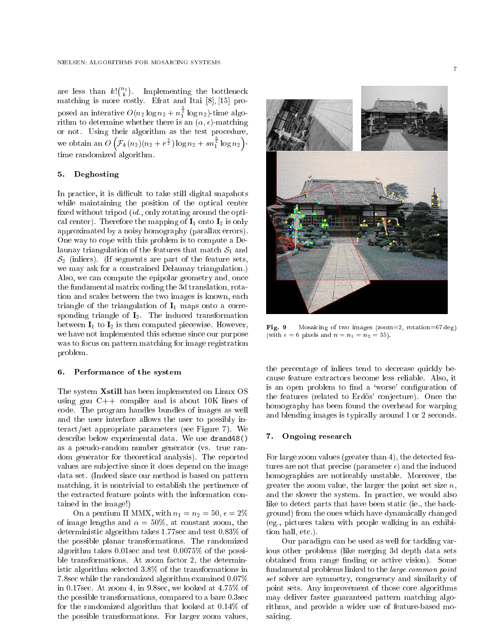$(n_2)$ . In proposition the bottleneck is a bottleneck in the bottleneck in the bottleneck in the bottleneck in the bottle matching is more costly. Effective in the Italian and Italian and Italian  $\mathbb{R}$ ,  $\mathbb{R}$ posed an interative  $O(n_2 \log n_2 + n_1^2 \log n_2)$ -time algorithm to determine whether there is an  $(\alpha, \epsilon)$ -matching or not. Using their algorithm as the test procedure, . .  $\mathcal{F}_k(n_2)(n_2 + r^{\frac{3}{2}}) \log n_2 + s n_1^{\frac{1}{2}} \log n_2$  time randomized algorithm.

## 5. Deghosting

In practice, it is difficult to take still digital snapshots while maintaining the position of the optical center fixed without tripod  $(id., \text{ only rotating around the opti-}$ cal center). Therefore the mapping of  $I_1$  onto  $I_2$  is only approximated by a noisy homography (parallax errors). One way to cope with this problem is to compute a Delaunay triangulation of the features that match  $S_1$  and  $S_2$  (inliers). (If segments are part of the feature sets, we may ask for a constrained Delaunay triangulation.) Also, we can compute the epipolar geometry and, once the fundamental matrix coding the 3d translation, rotation and scales between the two images is known, each triangle of the triangulation of  $I_1$  maps onto a corresponding triangle of  $I_2$ . The induced transformation between  $I_1$  to  $I_2$  is then computed piecewise. However, we have not implemented this scheme since our purpose was to focus on pattern matching for image registration problem.

#### 6. 6. Performance of the system

The system Xstill has been implemented on Linux OS using gnu  $C++$  compiler and is about 10K lines of code. The program handles bundles of images as well and the user interface allows the user to possibly interact/set appropriate parameters (see Figure 7). We describe below experimental data. We use drand48() as a pseudo-random number generator (vs. true random generator for theoretical analysis). The reported values are sub jective since it does depend on the image data set. (Indeed since our method is based on pattern matching, it is nontrivial to establish the pertinence of the extracted feature points with the information contained in the image!)

On a pentium II MMX, with  $n_1 = n_2 = 50$ ,  $\epsilon = 2\%$ of image lengths and  $\alpha = 50\%$ , at constant zoom, the deterministic algorithm takes 1.77sec and test 0:83% of the possible planar transformations. The randomized algorithm takes 0.01sec and test 0:0075% of the possible transformations. At zoom factor 2, the deterministic algorithm selected 3:8% of the transformations in 7.8sec while the randomized algorithm examined 0:07% in 0.17sec. At zoom 4, in 9.8sec, we looked at 4:75% of the possible transformations, compared to a bare 0.3sec for the randomized algorithm that looked at 0:14% of the possible transformations. For larger zoom values,



Mosaicing of two images (zoom=2, rotation=67 deg) Fig. 9 (with  $\epsilon = 6$  pixels and  $n = n_1 = n_2 = 35$ ).

the percentage of inliers tend to decrease quickly because feature extractors become less reliable. Also, it is an open problem to find a 'worse' configuration of the features (related to Erdös' conjecture). Once the homography has been found the overhead for warping and blending images is typically around 1 or 2 seconds.

# 7. Ongoing research

For large zoom values (greater than 4), the detected features are not that precise (parameter  $\epsilon$ ) and the induced homographies are noticeably unstable. Moreover, the greater the zoom value, the larger the point set size  $n$ , and the slower the system. In practice, we would also like to detect parts that have been static (ie., the background) from the ones which have dynamically changed (eg., pictures taken with people walking in an exhibition hall, etc.).

Our paradigm can be used as well for tackling various other problems (like merging 3d depth data sets obtained from range finding or active vision). Some fundamental problems linked to the large common point set solver are symmetry, congruency and similarity of point sets. Any improvement of those core algorithms may deliver faster guaranteed pattern matching algorithms, and provide a wider use of feature-based mosaicing.